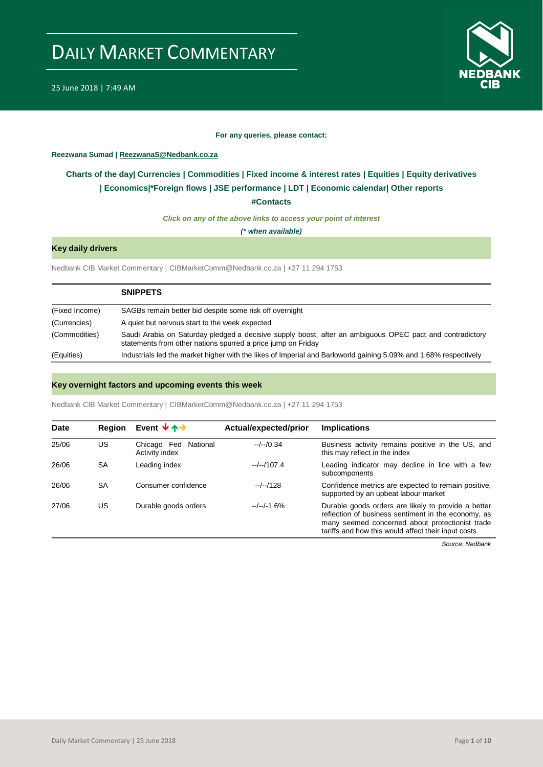



#### **For any queries, please contact:**

<span id="page-0-0"></span>**Reezwana Sumad | ReezwanaS@Nedbank.co.za**

## **Charts of the day| [Currencies](#page-2-0) [| Commodities](#page-3-0) | [Fixed income & interest rates](#page-1-0) | [Equities](#page-4-0) | Equity derivatives | Economics|\*Foreign flows [| JSE performance](#page-4-1) | [LDT](#page-5-0) | [Economic calendar|](#page-7-0) Other reports**

**[#Contacts](#page-8-0)**

*Click on any of the above links to access your point of interest*

*(\* when available)*

## **Key daily drivers**

Nedbank CIB Market Commentary | CIBMarketComm@Nedbank.co.za | +27 11 294 1753

|                | <b>SNIPPETS</b>                                                                                                                                                          |
|----------------|--------------------------------------------------------------------------------------------------------------------------------------------------------------------------|
| (Fixed Income) | SAGBs remain better bid despite some risk off overnight                                                                                                                  |
| (Currencies)   | A quiet but nervous start to the week expected                                                                                                                           |
| (Commodities)  | Saudi Arabia on Saturday pledged a decisive supply boost, after an ambiguous OPEC pact and contradictory<br>statements from other nations spurred a price jump on Friday |
| (Equities)     | Industrials led the market higher with the likes of Imperial and Barloworld gaining 5.09% and 1.68% respectively                                                         |

## **Key overnight factors and upcoming events this week**

Nedbank CIB Market Commentary | CIBMarketComm@Nedbank.co.za | +27 11 294 1753

| Date  | <b>Region</b> | Event $\mathbf{\downarrow}$ $\mathbf{\uparrow}$ | Actual/expected/prior | <b>Implications</b>                                                                                                                                                                                                  |
|-------|---------------|-------------------------------------------------|-----------------------|----------------------------------------------------------------------------------------------------------------------------------------------------------------------------------------------------------------------|
| 25/06 | US            | Chicago Fed<br>National<br>Activity index       | $-/-/0.34$            | Business activity remains positive in the US, and<br>this may reflect in the index                                                                                                                                   |
| 26/06 | <b>SA</b>     | Leading index                                   | $-/-/107.4$           | Leading indicator may decline in line with a few<br>subcomponents                                                                                                                                                    |
| 26/06 | <b>SA</b>     | Consumer confidence                             | $-/-/128$             | Confidence metrics are expected to remain positive,<br>supported by an upbeat labour market                                                                                                                          |
| 27/06 | US            | Durable goods orders                            | $-/-/-1.6%$           | Durable goods orders are likely to provide a better<br>reflection of business sentiment in the economy, as<br>many seemed concerned about protectionist trade<br>tariffs and how this would affect their input costs |

*Source: Nedbank*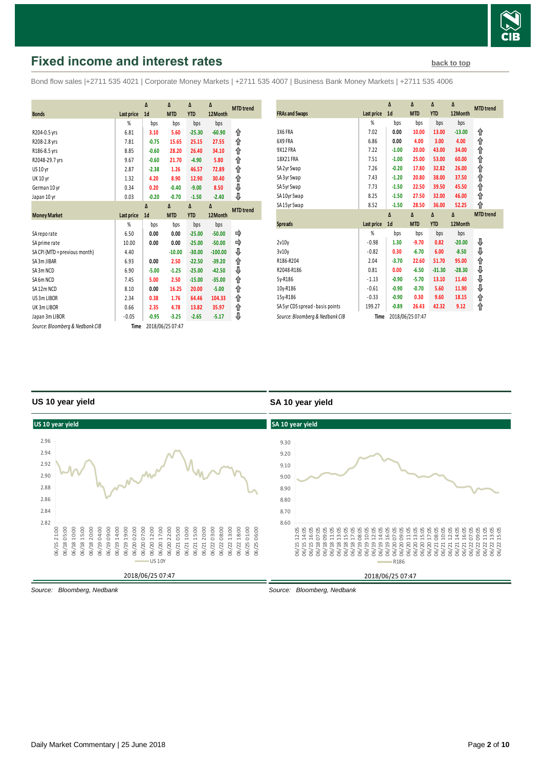

## <span id="page-1-0"></span>**Fixed income and interest rates [back to top](#page-0-0) back to top**

Bond flow sales |+2711 535 4021 | Corporate Money Markets | +2711 535 4007 | Business Bank Money Markets | +2711 535 4006

|                                 |                   | Δ              | Δ                | Δ          | Δ         |                  |
|---------------------------------|-------------------|----------------|------------------|------------|-----------|------------------|
| <b>Bonds</b>                    | Last price        | 1 <sub>d</sub> | <b>MTD</b>       | <b>YTD</b> | 12Month   | <b>MTD</b> trend |
|                                 | %                 | bps            | bps              | bps        | bps       |                  |
| R204-0.5 yrs                    | 6.81              | 3.10           | 5.60             | $-25.30$   | $-60.90$  | ⇑                |
| R208-2.8 yrs                    | 7.81              | $-0.75$        | 15.65            | 25.15      | 27.55     | ↟                |
| R186-8.5 yrs                    | 8.85              | $-0.60$        | 28.20            | 26.40      | 34.10     | ↟                |
| R2048-29.7 yrs                  | 9.67              | $-0.60$        | 21.70            | $-4.90$    | 5.80      | ↟                |
| US 10 yr                        | 2.87              | $-2.38$        | 1.26             | 46.57      | 72.89     | ⇑                |
| <b>UK 10 yr</b>                 | 1.32              | 4.20           | 8.90             | 12.90      | 30.40     | ⇑                |
| German 10 yr                    | 0.34              | 0.20           | $-0.40$          | $-9.00$    | 8.50      | ⇓                |
| Japan 10 yr                     | 0.03              | $-0.20$        | $-0.70$          | $-1.50$    | $-2.40$   | ⊕                |
|                                 |                   | $\Lambda$      | Δ                | Δ          | Δ         | <b>MTD</b> trend |
| <b>Money Market</b>             | <b>Last price</b> | 1 <sub>d</sub> | <b>MTD</b>       | <b>YTD</b> | 12Month   |                  |
|                                 | %                 | bps            | bps              | bps        | bps       |                  |
| SA reporate                     | 6.50              | 0.00           | 0.00             | $-25.00$   | $-50.00$  | ⇛                |
| SA prime rate                   | 10.00             | 0.00           | 0.00             | $-25.00$   | $-50.00$  | ⇛                |
| SA CPI (MTD = previous month)   | 4.40              |                | $-10.00$         | $-30.00$   | $-100.00$ | ⇓                |
| SA3m JIBAR                      | 6.93              | 0.00           | 2.50             | $-22.50$   | $-39.20$  | ↟                |
| SA3m NCD                        | 6.90              | $-5.00$        | $-1.25$          | $-25.00$   | $-42.50$  | ⇓                |
| SA6m NCD                        | 7.45              | 5.00           | 2.50             | $-15.00$   | $-35.00$  | ↟                |
| SA12m NCD                       | 8.10              | 0.00           | 16.25            | 20.00      | $-5.00$   | ↑                |
| US 3m LIBOR                     | 2.34              | 0.38           | 1.76             | 64.46      | 104.33    | ⇑                |
| UK 3m LIBOR                     | 0.66              | 2.35           | 4.78             | 13.82      | 35.97     | ↟                |
| Japan 3m LIBOR                  | $-0.05$           | $-0.95$        | $-3.25$          | $-2.65$    | $-5.17$   | ⊕                |
| Source: Bloomberg & Nedbank CIB | Time              |                | 2018/06/25 07:47 |            |           |                  |

| <b>FRAs and Swaps</b>            | Last price | Δ<br>1 <sub>d</sub> | Δ<br><b>MTD</b> | Δ<br><b>YTD</b> | Δ<br>12Month | <b>MTD</b> trend |
|----------------------------------|------------|---------------------|-----------------|-----------------|--------------|------------------|
|                                  | %          | bps                 | bps             | bps             | bps          |                  |
| 3X6 FRA                          | 7.02       | 0.00                | 10.00           | 13.00           | $-13.00$     | ⇑                |
| 6X9 FRA                          | 6.86       | 0.00                | 4.00            | 3.00            | 4.00         | ⇑                |
| 9X12 FRA                         | 7.22       | $-1.00$             | 20.00           | 43.00           | 34.00        | ⇑                |
| 18X21 FRA                        | 7.51       | $-1.00$             | 25.00           | 53.00           | 60.00        | ⇑                |
| SA 2yr Swap                      | 7.26       | $-0.20$             | 17.80           | 32.82           | 26.00        | ⇑                |
| SA 3yr Swap                      | 7.43       | $-1.20$             | 20.80           | 38.00           | 37.50        | ⇑                |
| SA 5yr Swap                      | 7.73       | $-1.50$             | 22.50           | 39.50           | 45.50        | ⇑                |
| SA 10yr Swap                     | 8.25       | $-1.50$             | 27.50           | 32.00           | 46.00        | ⇑                |
| SA 15yr Swap                     | 8.52       | $-1.50$             | 28.50           | 36.00           | 52.25        | ⇑                |
|                                  |            |                     |                 |                 |              |                  |
|                                  |            | $\Delta$            | $\Delta$        | $\Delta$        | Δ            | <b>MTD</b> trend |
| <b>Spreads</b>                   | Last price | 1 <sub>d</sub>      | <b>MTD</b>      | <b>YTD</b>      | 12Month      |                  |
|                                  | %          | bps                 | bps             | bps             | bps          |                  |
| 2v10v                            | $-0.98$    | 1.30                | $-9.70$         | 0.82            | $-20.00$     | ⇓                |
| 3v10v                            | $-0.82$    | 0.30                | $-6.70$         | 6.00            | $-8.50$      | ⇓                |
| R186-R204                        | 2.04       | $-3.70$             | 22.60           | 51.70           | 95.00        | ⇑                |
| R2048-R186                       | 0.81       | 0.00                | $-6.50$         | $-31.30$        | $-28.30$     |                  |
| 5y-R186                          | $-1.13$    | $-0.90$             | $-5.70$         | 13.10           | 11.40        |                  |
| 10y-R186                         | $-0.61$    | $-0.90$             | $-0.70$         | 5.60            | 11.90        | キキキ              |
| 15y-R186                         | $-0.33$    | $-0.90$             | 0.30            | 9.60            | 18.15        | ⇑                |
| SA 5yr CDS spread - basis points | 199.27     | $-0.89$             | 26.43           | 42.32           | 9.12         | ⇑                |

## **US 10 year yield**

## **SA 10 year yield**



*Source: Bloomberg, Nedbank*

*Source: Bloomberg, Nedbank*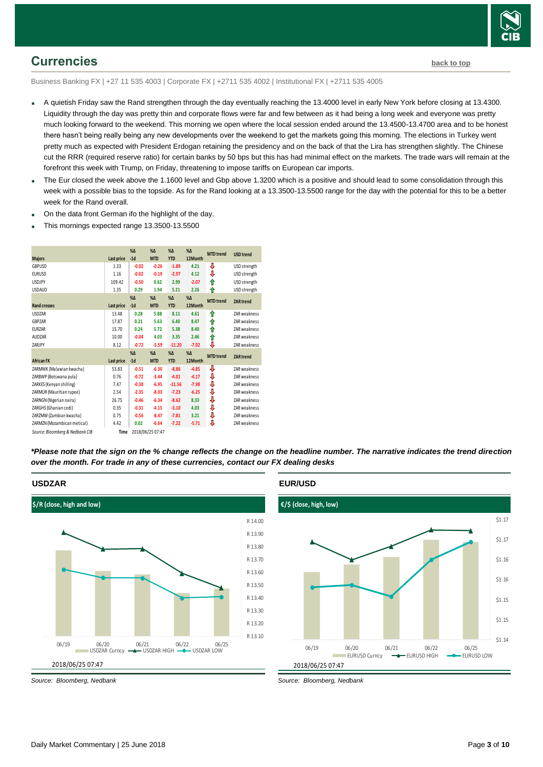

## <span id="page-2-0"></span>**Currencies [back to top](#page-0-0)**

Business Banking FX | +27 11 535 4003 | Corporate FX | +2711 535 4002 | Institutional FX | +2711 535 4005

- A quietish Friday saw the Rand strengthen through the day eventually reaching the 13.4000 level in early New York before closing at 13.4300. Liquidity through the day was pretty thin and corporate flows were far and few between as it had being a long week and everyone was pretty much looking forward to the weekend. This morning we open where the local session ended around the 13.4500-13.4700 area and to be honest there hasn't being really being any new developments over the weekend to get the markets going this morning. The elections in Turkey went pretty much as expected with President Erdogan retaining the presidency and on the back of that the Lira has strengthen slightly. The Chinese cut the RRR (required reserve ratio) for certain banks by 50 bps but this has had minimal effect on the markets. The trade wars will remain at the forefront this week with Trump, on Friday, threatening to impose tariffs on European car imports.
- The Eur closed the week above the 1.1600 level and Gbp above 1.3200 which is a positive and should lead to some consolidation through this week with a possible bias to the topside. As for the Rand looking at a 13.3500-13.5500 range for the day with the potential for this to be a better week for the Rand overall.
- On the data front German ifo the highlight of the day.
- This mornings expected range 13.3500-13.5500



*\*Please note that the sign on the % change reflects the change on the headline number. The narrative indicates the trend direction over the month. For trade in any of these currencies, contact our FX dealing desks*



## **EUR/USD**



*Source: Bloomberg, Nedbank*

**USDZAR**

*Source: Bloomberg, Nedbank*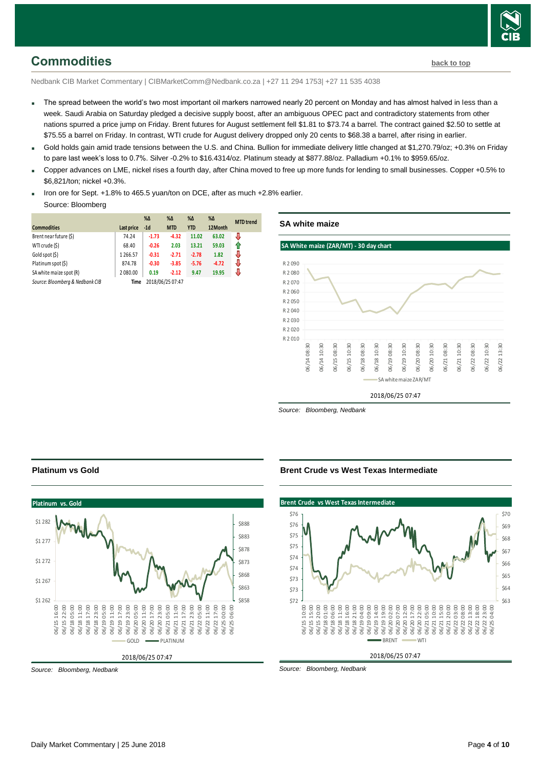

## <span id="page-3-0"></span>**Commodities [back to top](#page-0-0)**

Nedbank CIB Market Commentary | CIBMarketComm@Nedbank.co.za | +27 11 294 1753| +27 11 535 4038

- The spread between the world's two most important oil markers narrowed nearly 20 percent on Monday and has almost halved in less than a week. Saudi Arabia on Saturday pledged a decisive supply boost, after an ambiguous OPEC pact and contradictory statements from other nations spurred a price jump on Friday. Brent futures for August settlement fell \$1.81 to \$73.74 a barrel. The contract gained \$2.50 to settle at \$75.55 a barrel on Friday. In contrast, WTI crude for August delivery dropped only 20 cents to \$68.38 a barrel, after rising in earlier.
- Gold holds gain amid trade tensions between the U.S. and China. Bullion for immediate delivery little changed at \$1,270.79/oz; +0.3% on Friday to pare last week's loss to 0.7%. Silver -0.2% to \$16.4314/oz. Platinum steady at \$877.88/oz. Palladium +0.1% to \$959.65/oz.
- Copper advances on LME, nickel rises a fourth day, after China moved to free up more funds for lending to small businesses. Copper +0.5% to \$6,821/ton; nickel +0.3%.
- Iron ore for Sept. +1.8% to 465.5 yuan/ton on DCE, after as much +2.8% earlier.

#### Source: Bloomberg

| <b>Commodities</b>              | Last price | $% \Delta$<br>$-1d$ | $% \Delta$<br><b>MTD</b> | %Δ<br><b>YTD</b> | $\%$ $\Delta$<br>12Month | <b>MTD</b> trend |
|---------------------------------|------------|---------------------|--------------------------|------------------|--------------------------|------------------|
| Brent near future (\$)          | 74.24      | $-1.73$             | $-4.32$                  | 11.02            | 63.02                    | J                |
| WTI crude (\$)                  | 68.40      | $-0.26$             | 2.03                     | 13.21            | 59.03                    | f                |
| Gold spot (\$)                  | 1266.57    | $-0.31$             | $-2.71$                  | $-2.78$          | 1.82                     | J                |
| Platinum spot (\$)              | 874.78     | $-0.30$             | $-3.85$                  | $-5.76$          | $-4.72$                  | J                |
| SA white maize spot (R)         | 2080.00    | 0.19                | $-2.12$                  | 9.47             | 19.95                    | J                |
| Source: Bloomberg & Nedbank CIB | Time       |                     | 2018/06/25 07:47         |                  |                          |                  |



*Source: Bloomberg, Nedbank*

### **Brent Crude vs West Texas Intermediate**





## **Platinum vs Gold**



*Source: Bloomberg, Nedbank*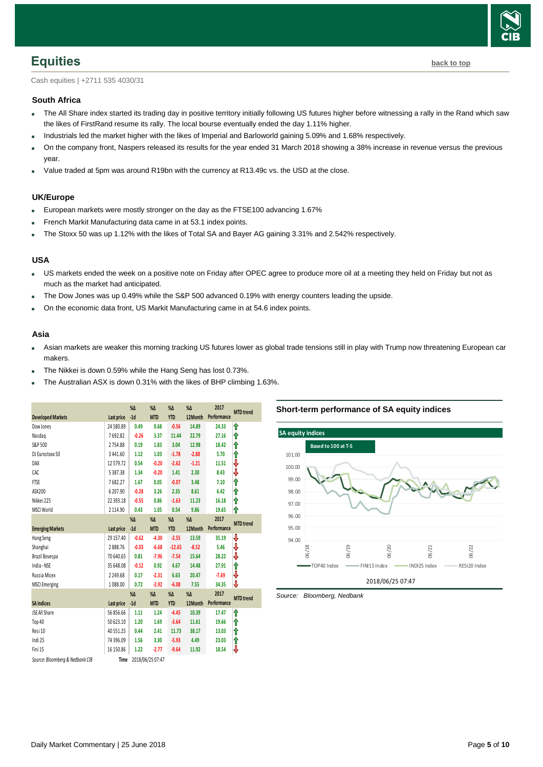

## <span id="page-4-0"></span>**Equities [back to top](#page-0-0)**

Cash equities | +2711 535 4030/31

## **South Africa**

- The All Share index started its trading day in positive territory initially following US futures higher before witnessing a rally in the Rand which saw the likes of FirstRand resume its rally. The local bourse eventually ended the day 1.11% higher.
- Industrials led the market higher with the likes of Imperial and Barloworld gaining 5.09% and 1.68% respectively.
- On the company front, Naspers released its results for the year ended 31 March 2018 showing a 38% increase in revenue versus the previous year.
- Value traded at 5pm was around R19bn with the currency at R13.49c vs. the USD at the close.

## **UK/Europe**

- European markets were mostly stronger on the day as the FTSE100 advancing 1.67%
- French Markit Manufacturing data came in at 53.1 index points.
- The Stoxx 50 was up 1.12% with the likes of Total SA and Bayer AG gaining 3.31% and 2.542% respectively.

### **USA**

- US markets ended the week on a positive note on Friday after OPEC agree to produce more oil at a meeting they held on Friday but not as much as the market had anticipated.
- The Dow Jones was up 0.49% while the S&P 500 advanced 0.19% with energy counters leading the upside.
- On the economic data front, US Markit Manufacturing came in at 54.6 index points.

#### **Asia**

- Asian markets are weaker this morning tracking US futures lower as global trade tensions still in play with Trump now threatening European car makers.
- The Nikkei is down 0.59% while the Hang Seng has lost 0.73%.
- The Australian ASX is down 0.31% with the likes of BHP climbing 1.63%.

|                                 |               | %Δ            | $% \Delta$       | $% \Delta$ | $\%$ $\Delta$ | 2017        | <b>MTD</b> trend |
|---------------------------------|---------------|---------------|------------------|------------|---------------|-------------|------------------|
| <b>Developed Markets</b>        | Last price    | $-1d$         | <b>MTD</b>       | <b>YTD</b> | 12Month       | Performance |                  |
| Dow Jones                       | 24580.89      | 0.49          | 0.68             | $-0.56$    | 14.89         | 24.33       | ⇑                |
| Nasdaq                          | 7692.82       | $-0.26$       | 3.37             | 11.44      | 22.79         | 27.16       | ⇑                |
| S&P 500                         | 2754.88       | 0.19          | 1.83             | 3.04       | 12.98         | 18.42       | ⇑                |
| DJ Eurostoxx 50                 | 3 4 4 1.60    | 1.12          | 1.03             | $-1.78$    | $-2.88$       | 5.70        | ⇑                |
| DAX                             | 12579.72      | 0.54          | $-0.20$          | $-2.62$    | $-1.21$       | 11.51       | ₩                |
| CAC                             | 5387.38       | 1.34          | $-0.20$          | 1.41       | 2.30          | 8.43        | ⇩                |
| <b>FTSE</b>                     | 7682.27       | 1.67          | 0.05             | $-0.07$    | 3.48          | 7.10        | ⋔                |
| ASX200                          | 6207.90       | $-0.28$       | 3.26             | 2.35       | 8.61          | 6.42        | ⇑                |
| Nikkei 225                      | 22 39 3.18    | $-0.55$       | 0.86             | $-1.63$    | 11.23         | 16.18       | ⋔                |
| <b>MSCI World</b>               | 2 1 1 4 . 9 0 | 0.43          | 1.05             | 0.54       | 9.86          | 19.65       | ⋔                |
|                                 |               | %Δ            | $\%$ $\Delta$    | $% \Delta$ | $% \Delta$    | 2017        |                  |
| <b>Emerging Markets</b>         | Last price    | $-1d$         | <b>MTD</b>       | <b>YTD</b> | 12Month       | Performance | <b>MTD</b> trend |
| Hang Seng                       | 29 15 7.40    | $-0.62$       | $-4.30$          | $-2.55$    | 13.59         | 35.19       | ⇩                |
| Shanghai                        | 2888.76       | $-0.03$       | $-6.68$          | $-12.65$   | $-8.52$       | 5.46        | ₩                |
| Brazil Bovespa                  | 70 640.65     | 0.81          | $-7.96$          | $-7.54$    | 15.64         | 28.22       | ₩                |
| India - NSE                     | 35 648.08     | $-0.12$       | 0.92             | 4.67       | 14.48         | 27.91       | ⇑                |
| Russia Micex                    | 2249.68       | 0.17          | $-2.31$          | 6.63       | 20.47         | $-7.69$     | ⇩                |
| <b>MSCI</b> Emerging            | 1088.00       | 0.72          | $-2.92$          | $-6.08$    | 7.55          | 34.35       | ₩                |
|                                 |               | $\%$ $\Delta$ | $% \Delta$       | $% \Delta$ | $% \Delta$    | 2017        |                  |
| <b>SA Indices</b>               | Last price    | $-1d$         | <b>MTD</b>       | <b>YTD</b> | 12Month       | Performance | <b>MTD</b> trend |
| JSE All Share                   | 56 856.66     | 1.11          | 1.24             | $-4.45$    | 10.39         | 17.47       | ⇑                |
| Top 40                          | 50 623.10     | 1.20          | 1.69             | $-3.64$    | 11.61         | 19.66       | ⋔                |
| Resi 10                         | 40 551.25     | 0.44          | 2.41             | 11.73      | 38.17         | 13.03       | ⇑                |
| Indi 25                         | 74 39 6.09    | 1.56          | 3.30             | $-5.93$    | 4.49          | 23.03       | ⋔                |
| Fini 15                         | 16 150.86     | 1.22          | $-2.77$          | $-9.64$    | 11.92         | 18.54       | V                |
| Source: Bloomberg & Nedbank CIB | Time          |               | 2018/06/25 07:47 |            |               |             |                  |

### **Short-term performance of SA equity indices**



<span id="page-4-1"></span>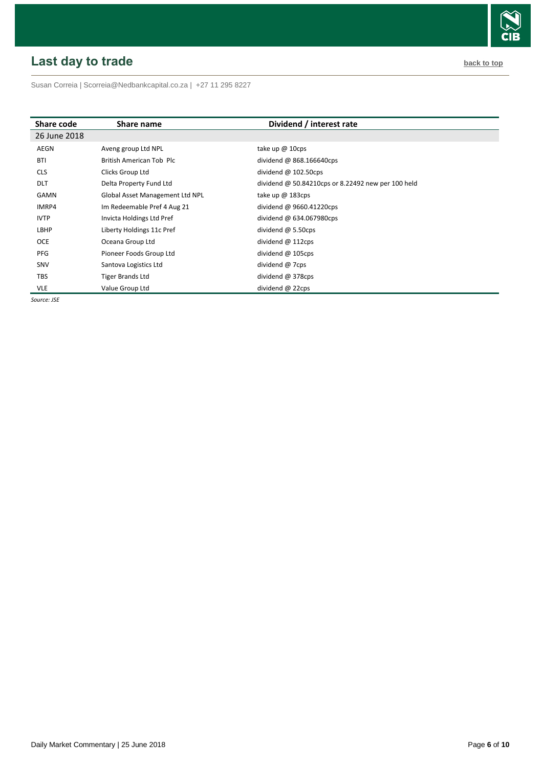# <span id="page-5-0"></span>**Last day to trade back to the contract of the contract of the contract of the contract of the contract of the contract of the contract of the contract of the contract of the contract of the contract of the contract of t**

Susan Correia [| Scorreia@Nedbankcapital.co.za](mailto:Scorreia@Nedbankcapital.co.za) | +27 11 295 8227

| Share code   | Share name                      | Dividend / interest rate                           |
|--------------|---------------------------------|----------------------------------------------------|
| 26 June 2018 |                                 |                                                    |
| AEGN         | Aveng group Ltd NPL             | take up $@$ 10cps                                  |
| <b>BTI</b>   | British American Tob Plc        | dividend @ 868.166640cps                           |
| <b>CLS</b>   | Clicks Group Ltd                | dividend $@102.50cps$                              |
| <b>DLT</b>   | Delta Property Fund Ltd         | dividend @ 50.84210cps or 8.22492 new per 100 held |
| GAMN         | Global Asset Management Ltd NPL | take up $@$ 183cps                                 |
| IMRP4        | Im Redeemable Pref 4 Aug 21     | dividend @ 9660.41220cps                           |
| <b>IVTP</b>  | Invicta Holdings Ltd Pref       | dividend @ 634.067980cps                           |
| LBHP         | Liberty Holdings 11c Pref       | dividend $\omega$ 5.50cps                          |
| <b>OCE</b>   | Oceana Group Ltd                | dividend @ 112cps                                  |
| PFG          | Pioneer Foods Group Ltd         | dividend $@$ 105cps                                |
| SNV          | Santova Logistics Ltd           | dividend @ 7cps                                    |
| <b>TBS</b>   | Tiger Brands Ltd                | dividend @ 378cps                                  |
| <b>VLE</b>   | Value Group Ltd                 | dividend @ 22cps                                   |

*Source: JSE*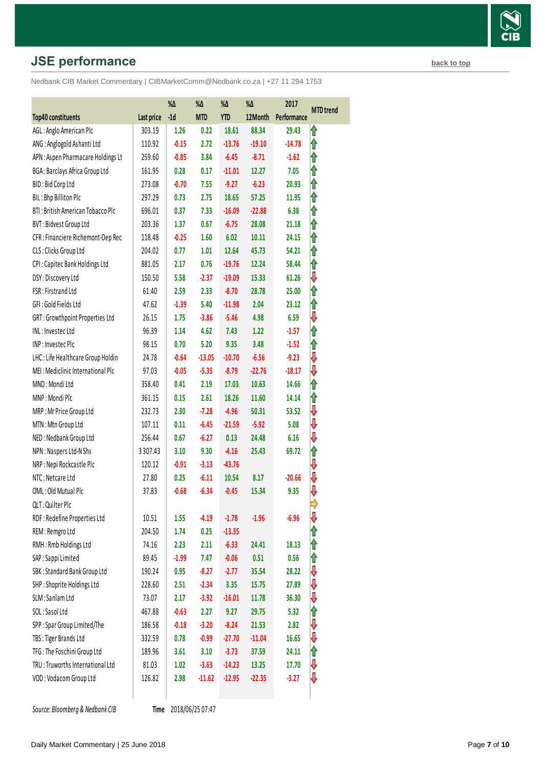# **JSE performance [back to top](#page-0-0) back to top**

Nedbank CIB Market Commentary | CIBMarketComm@Nedbank.co.za | +27 11 294 1753

|                                    |             | %Δ      | $\% \Delta$ | %Δ         | $\% \Delta$ | 2017        |                  |
|------------------------------------|-------------|---------|-------------|------------|-------------|-------------|------------------|
| Top40 constituents                 | Last price  | $-1d$   | <b>MTD</b>  | <b>YTD</b> | 12Month     | Performance | <b>MTD</b> trend |
| AGL: Anglo American Plc            | 303.19      | 1.26    | 0.22        | 18.61      | 88.34       | 29.43       | ⇑                |
| ANG: Anglogold Ashanti Ltd         | 110.92      | $-0.15$ | 2.72        | $-13.76$   | $-19.10$    | $-14.78$    | ⇑                |
| APN: Aspen Pharmacare Holdings Lt  | 259.60      | $-0.85$ | 3.84        | $-6.45$    | $-8.71$     | $-1.62$     | ⇑                |
| BGA: Barclays Africa Group Ltd     | 161.95      | 0.28    | 0.17        | $-11.01$   | 12.27       | 7.05        | ⇑                |
| BID: Bid Corp Ltd                  | 273.08      | $-0.70$ | 7.55        | $-9.27$    | $-6.23$     | 20.93       | ⇑                |
| BIL: Bhp Billiton Plc              | 297.29      | 0.73    | 2.75        | 18.65      | 57.25       | 11.95       | ĥ                |
| BTI: British American Tobacco Plc  | 696.01      | 0.37    | 7.33        | $-16.09$   | $-22.88$    | 6.38        | ⇑                |
| BVT: Bidvest Group Ltd             | 203.36      | 1.37    | 0.67        | $-6.75$    | 28.08       | 21.18       | ⇑                |
| CFR : Financiere Richemont-Dep Rec | 118.48      | $-0.25$ | 1.60        | 6.02       | 10.11       | 24.15       | ⇑                |
| CLS: Clicks Group Ltd              | 204.02      | 0.77    | 1.01        | 12.64      | 45.73       | 54.21       | ⇑                |
| CPI: Capitec Bank Holdings Ltd     | 881.05      | 2.17    | 0.76        | $-19.76$   | 12.24       | 58.44       | ⇑                |
| DSY: Discovery Ltd                 | 150.50      | 5.58    | $-2.37$     | $-19.09$   | 15.33       | 61.26       | ⇩                |
| FSR: Firstrand Ltd                 | 61.40       | 2.59    | 2.33        | $-8.70$    | 28.78       | 25.00       | ⇑                |
| GFI: Gold Fields Ltd               | 47.62       | $-1.39$ | 5.40        | $-11.98$   | 2.04        | 23.12       | ⇑                |
| GRT: Growthpoint Properties Ltd    | 26.15       | 1.75    | $-3.86$     | $-5.46$    | 4.98        | 6.59        | ⇩                |
| INL: Investec Ltd                  | 96.39       | 1.14    | 4.62        | 7.43       | 1.22        | $-1.57$     | ⇑                |
| INP: Investec Plc                  | 98.15       | 0.70    | 5.20        | 9.35       | 3.48        | $-1.52$     | ⇑                |
| LHC: Life Healthcare Group Holdin  | 24.78       | $-0.64$ | $-13.05$    | $-10.70$   | $-6.56$     | $-9.23$     | ⇩                |
| MEI: Mediclinic International Plc  | 97.03       | $-0.05$ | $-5.35$     | $-8.79$    | $-22.76$    | $-18.17$    | ⇩                |
| MND: Mondi Ltd                     | 358.40      | 0.41    | 2.19        | 17.03      | 10.63       | 14.66       | ⇑                |
| MNP: Mondi Plc                     | 361.15      | 0.15    | 2.61        | 18.26      | 11.60       | 14.14       | ⇑                |
| MRP: Mr Price Group Ltd            | 232.73      | 2.30    | $-7.28$     | $-4.96$    | 50.31       | 53.52       | ⇓                |
| MTN: Mtn Group Ltd                 | 107.11      | 0.11    | $-6.45$     | $-21.59$   | $-5.92$     | 5.08        | ⇩                |
| NED: Nedbank Group Ltd             | 256.44      | 0.67    | $-6.27$     | 0.13       | 24.48       | 6.16        | ⇩                |
| NPN : Naspers Ltd-N Shs            | 3 3 0 7.4 3 | 3.10    | 9.30        | $-4.16$    | 25.43       | 69.72       | ⇑                |
| NRP: Nepi Rockcastle Plc           | 120.12      | $-0.91$ | $-3.13$     | $-43.76$   |             |             | ⇩                |
| NTC: Netcare Ltd                   | 27.80       | 0.25    | $-6.11$     | 10.54      | 8.17        | $-20.66$    | ⇩                |
| OML: Old Mutual Plc                | 37.83       | $-0.68$ | $-6.34$     | $-0.45$    | 15.34       | 9.35        | ⇩                |
| QLT: Quilter Plc                   |             |         |             |            |             |             |                  |
| RDF: Redefine Properties Ltd       | 10.51       | 1.55    | $-4.19$     | $-1.78$    | $-1.96$     | $-6.96$     | J                |
| REM: Remgro Ltd                    | 204.50      | 1.74    | 0.25        | $-13.35$   |             |             |                  |
| RMH: Rmb Holdings Ltd              | 74.16       | 2.23    | 2.11        | $-6.33$    | 24.41       | 18.13       |                  |
| SAP : Sappi Limited                | 89.45       | $-1.99$ | 7.47        | $-0.06$    | 0.51        | 0.56        | 1                |
| SBK: Standard Bank Group Ltd       | 190.24      | 0.95    | $-8.27$     | $-2.77$    | 35.54       | 28.22       | ⇩                |
| SHP: Shoprite Holdings Ltd         | 228.60      | 2.51    | $-2.34$     | 3.35       | 15.75       | 27.89       | ⇩                |
| SLM: Sanlam Ltd                    | 73.07       | 2.17    | $-3.92$     | $-16.01$   | 11.78       | 36.30       | ⇩                |
| SOL: Sasol Ltd                     | 467.88      | $-0.63$ | 2.27        | 9.27       | 29.75       | 5.32        | ⇑                |
| SPP: Spar Group Limited/The        | 186.58      | $-0.18$ | $-3.20$     | $-8.24$    | 21.53       | 2.82        | ⇩                |
| TBS: Tiger Brands Ltd              | 332.59      | 0.78    | $-0.99$     | $-27.70$   | $-11.04$    | 16.65       | ⇓                |
| TFG: The Foschini Group Ltd        | 189.96      | 3.61    | 3.10        | $-3.73$    | 37.59       | 24.11       | ⇑                |
| TRU: Truworths International Ltd   | 81.03       | 1.02    | $-3.63$     | $-14.23$   | 13.25       | 17.70       | ⇓                |
| VOD: Vodacom Group Ltd             | 126.82      | 2.98    | $-11.62$    | $-12.95$   | $-22.35$    | $-3.27$     | ₩                |
|                                    |             |         |             |            |             |             |                  |

**Source: Bloomberg & Nedbank CIB** 

Time 2018/06/25 07:47

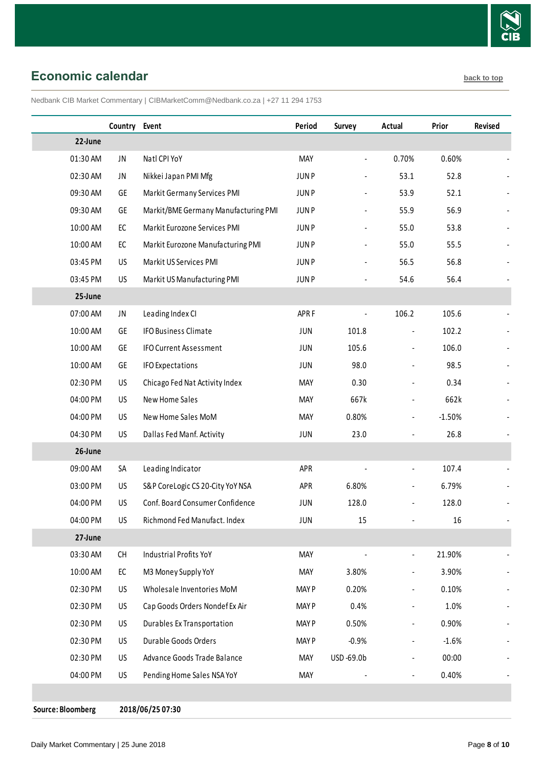

## <span id="page-7-0"></span>**Economic calendar [back to top](#page-0-0) back to top**

Nedbank CIB Market Commentary | CIBMarketComm@Nedbank.co.za | +27 11 294 1753

|          | Country Event |                                      | Period           | <b>Survey</b>                | Actual                       | Prior    | Revised |
|----------|---------------|--------------------------------------|------------------|------------------------------|------------------------------|----------|---------|
| 22-June  |               |                                      |                  |                              |                              |          |         |
| 01:30 AM | JN            | Natl CPI YoY                         | <b>MAY</b>       |                              | 0.70%                        | 0.60%    |         |
| 02:30 AM | JN            | Nikkei Japan PMI Mfg                 | <b>JUNP</b>      | $\blacksquare$               | 53.1                         | 52.8     |         |
| 09:30 AM | GE            | Markit Germany Services PMI          | <b>JUNP</b>      |                              | 53.9                         | 52.1     |         |
| 09:30 AM | GE            | Markit/BME Germany Manufacturing PMI | <b>JUNP</b>      |                              | 55.9                         | 56.9     |         |
| 10:00 AM | EC            | Markit Eurozone Services PMI         | <b>JUNP</b>      |                              | 55.0                         | 53.8     |         |
| 10:00 AM | EC            | Markit Eurozone Manufacturing PMI    | <b>JUNP</b>      |                              | 55.0                         | 55.5     |         |
| 03:45 PM | US            | Markit US Services PMI               | <b>JUNP</b>      | $\qquad \qquad \blacksquare$ | 56.5                         | 56.8     |         |
| 03:45 PM | <b>US</b>     | Markit US Manufacturing PMI          | <b>JUNP</b>      |                              | 54.6                         | 56.4     |         |
| 25-June  |               |                                      |                  |                              |                              |          |         |
| 07:00 AM | JN            | Leading Index CI                     | APR <sub>F</sub> |                              | 106.2                        | 105.6    |         |
| 10:00 AM | GE            | <b>IFO Business Climate</b>          | <b>JUN</b>       | 101.8                        | $\overline{a}$               | 102.2    |         |
| 10:00 AM | GE            | <b>IFO Current Assessment</b>        | <b>JUN</b>       | 105.6                        |                              | 106.0    |         |
| 10:00 AM | <b>GE</b>     | <b>IFO Expectations</b>              | <b>JUN</b>       | 98.0                         |                              | 98.5     |         |
| 02:30 PM | US            | Chicago Fed Nat Activity Index       | MAY              | 0.30                         |                              | 0.34     |         |
| 04:00 PM | US            | New Home Sales                       | MAY              | 667k                         | $\overline{\phantom{a}}$     | 662k     |         |
| 04:00 PM | US.           | New Home Sales MoM                   | <b>MAY</b>       | 0.80%                        | $\blacksquare$               | $-1.50%$ |         |
| 04:30 PM | US            | Dallas Fed Manf. Activity            | <b>JUN</b>       | 23.0                         |                              | 26.8     |         |
| 26-June  |               |                                      |                  |                              |                              |          |         |
| 09:00 AM | SA            | Leading Indicator                    | APR              |                              | $\overline{\phantom{a}}$     | 107.4    |         |
| 03:00 PM | US            | S&P CoreLogic CS 20-City YoY NSA     | APR              | 6.80%                        | $\overline{a}$               | 6.79%    |         |
| 04:00 PM | US            | Conf. Board Consumer Confidence      | JUN              | 128.0                        | $\frac{1}{2}$                | 128.0    |         |
| 04:00 PM | US            | Richmond Fed Manufact. Index         | JUN              | 15                           | ä,                           | 16       |         |
| 27-June  |               |                                      |                  |                              |                              |          |         |
| 03:30 AM | CH            | <b>Industrial Profits YoY</b>        | <b>MAY</b>       |                              | $\blacksquare$               | 21.90%   |         |
| 10:00 AM | EC            | M3 Money Supply YoY                  | <b>MAY</b>       | 3.80%                        | $\overline{a}$               | 3.90%    |         |
| 02:30 PM | US            | Wholesale Inventories MoM            | <b>MAYP</b>      | 0.20%                        |                              | 0.10%    |         |
| 02:30 PM | US            | Cap Goods Orders Nondef Ex Air       | <b>MAYP</b>      | 0.4%                         | $\overline{\phantom{a}}$     | 1.0%     |         |
| 02:30 PM | US            | Durables Ex Transportation           | <b>MAYP</b>      | 0.50%                        | $\frac{1}{2}$                | 0.90%    |         |
| 02:30 PM | US            | Durable Goods Orders                 | <b>MAYP</b>      | $-0.9%$                      | $\qquad \qquad \blacksquare$ | $-1.6%$  |         |
| 02:30 PM | US            | Advance Goods Trade Balance          | MAY              | USD-69.0b                    | $\overline{\phantom{a}}$     | 00:00    |         |
| 04:00 PM | US            | Pending Home Sales NSA YoY           | <b>MAY</b>       |                              | ÷,                           | 0.40%    |         |
|          |               |                                      |                  |                              |                              |          |         |

**Source: Bloomberg 2018/06/25 07:30**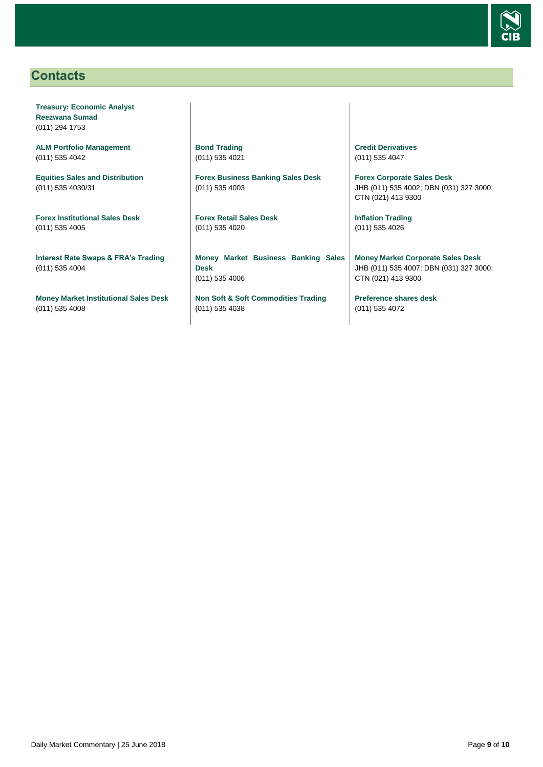

## <span id="page-8-0"></span>**Contacts**

**Treasury: Economic Analyst Reezwana Sumad** (011) 294 1753

**ALM Portfolio Management** (011) 535 4042

**Equities Sales and Distribution** (011) 535 4030/31

**Forex Institutional Sales Desk** (011) 535 4005

**Interest Rate Swaps & FRA's Trading** (011) 535 4004

**Money Market Institutional Sales Desk** (011) 535 4008

**Bond Trading** (011) 535 4021

**Forex Business Banking Sales Desk** (011) 535 4003

**Forex Retail Sales Desk** (011) 535 4020

**Money Market Business Banking Sales Desk** (011) 535 4006

**Non Soft & Soft Commodities Trading** (011) 535 4038

**Credit Derivatives**  (011) 535 4047

**Forex Corporate Sales Desk** JHB (011) 535 4002; DBN (031) 327 3000; CTN (021) 413 9300

**Inflation Trading** (011) 535 4026

**Money Market Corporate Sales Desk** JHB (011) 535 4007; DBN (031) 327 3000; CTN (021) 413 9300

**Preference shares desk** (011) 535 4072